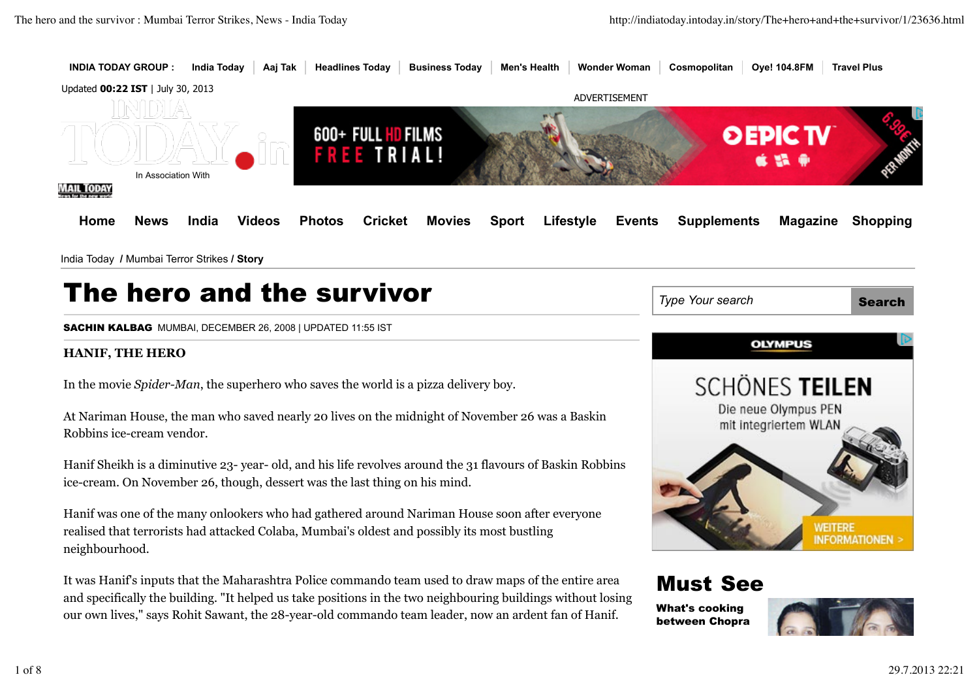

# The hero and the survivor

SACHIN KALBAG MUMBAI, DECEMBER 26, 2008 | UPDATED 11:55 IST

## **HANIF, THE HERO**

In the movie *Spider-Man*, the superhero who saves the world is a pizza delivery boy.

At Nariman House, the man who saved nearly 20 lives on the midnight of November 26 was a Baskin Robbins ice-cream vendor.

Hanif Sheikh is a diminutive 23- year- old, and his life revolves around the 31 flavours of Baskin Robbins ice-cream. On November 26, though, dessert was the last thing on his mind.

Hanif was one of the many onlookers who had gathered around Nariman House soon after everyone realised that terrorists had attacked Colaba, Mumbai's oldest and possibly its most bustling neighbourhood.

It was Hanif's inputs that the Maharashtra Police commando team used to draw maps of the entire area and specifically the building. "It helped us take positions in the two neighbouring buildings without losing our own lives," says Rohit Sawant, the 28-year-old commando team leader, now an ardent fan of Hanif.



# Must See

What's cooking between Chopra

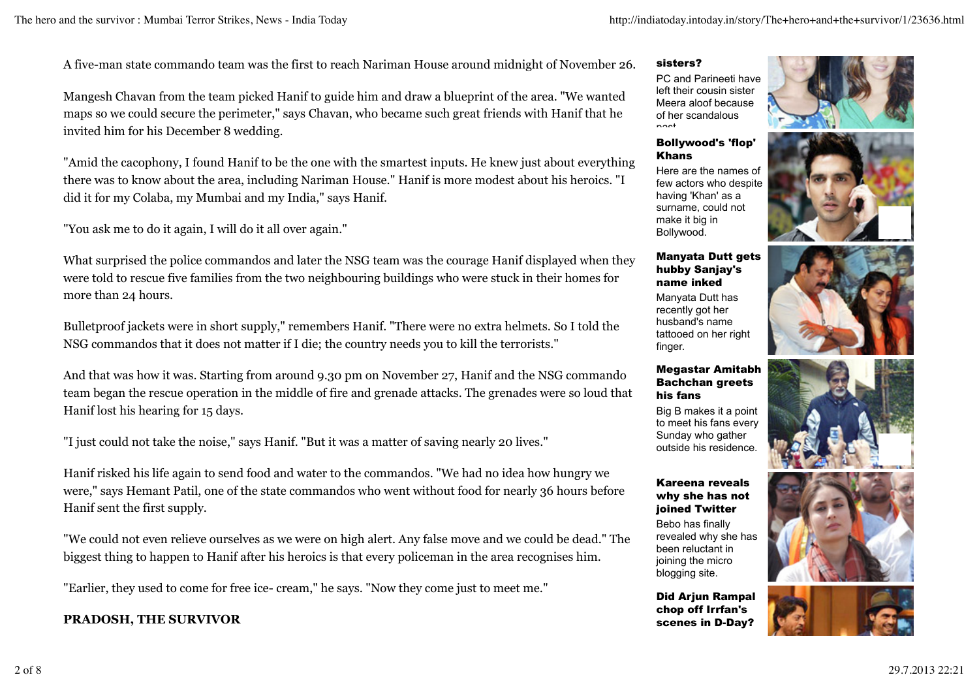A five-man state commando team was the first to reach Nariman House around midnight of November 26.

Mangesh Chavan from the team picked Hanif to guide him and draw a blueprint of the area. "We wanted maps so we could secure the perimeter," says Chavan, who became such great friends with Hanif that he invited him for his December 8 wedding.

"Amid the cacophony, I found Hanif to be the one with the smartest inputs. He knew just about everything there was to know about the area, including Nariman House." Hanif is more modest about his heroics. "I did it for my Colaba, my Mumbai and my India," says Hanif.

"You ask me to do it again, I will do it all over again."

What surprised the police commandos and later the NSG team was the courage Hanif displayed when they were told to rescue five families from the two neighbouring buildings who were stuck in their homes for more than 24 hours.

Bulletproof jackets were in short supply," remembers Hanif. "There were no extra helmets. So I told the NSG commandos that it does not matter if I die; the country needs you to kill the terrorists."

And that was how it was. Starting from around 9.30 pm on November 27, Hanif and the NSG commando team began the rescue operation in the middle of fire and grenade attacks. The grenades were so loud that Hanif lost his hearing for 15 days.

"I just could not take the noise," says Hanif. "But it was a matter of saving nearly 20 lives."

Hanif risked his life again to send food and water to the commandos. "We had no idea how hungry we were," says Hemant Patil, one of the state commandos who went without food for nearly 36 hours before Hanif sent the first supply.

"We could not even relieve ourselves as we were on high alert. Any false move and we could be dead." The biggest thing to happen to Hanif after his heroics is that every policeman in the area recognises him.

"Earlier, they used to come for free ice- cream," he says. "Now they come just to meet me."

## **PRADOSH, THE SURVIVOR**

#### sisters?

PC and Parineeti have left their cousin sister Meera aloof because of her scandalous past.

#### Bollywood's 'flop' Khans

Here are the names of few actors who despite having 'Khan' as a surname, could not make it big in Bollywood.

#### Manyata Dutt gets hubby Sanjay's name inked

Manyata Dutt has recently got her husband's name tattooed on her right finger.

#### Megastar Amitabh Bachchan greets his fans

Big B makes it a point to meet his fans every Sunday who gather outside his residence.

#### Kareena reveals why she has not joined Twitter

Bebo has finally revealed why she has been reluctant in joining the micro blogging site.

Did Arjun Rampal chop off Irrfan's scenes in D-Day?